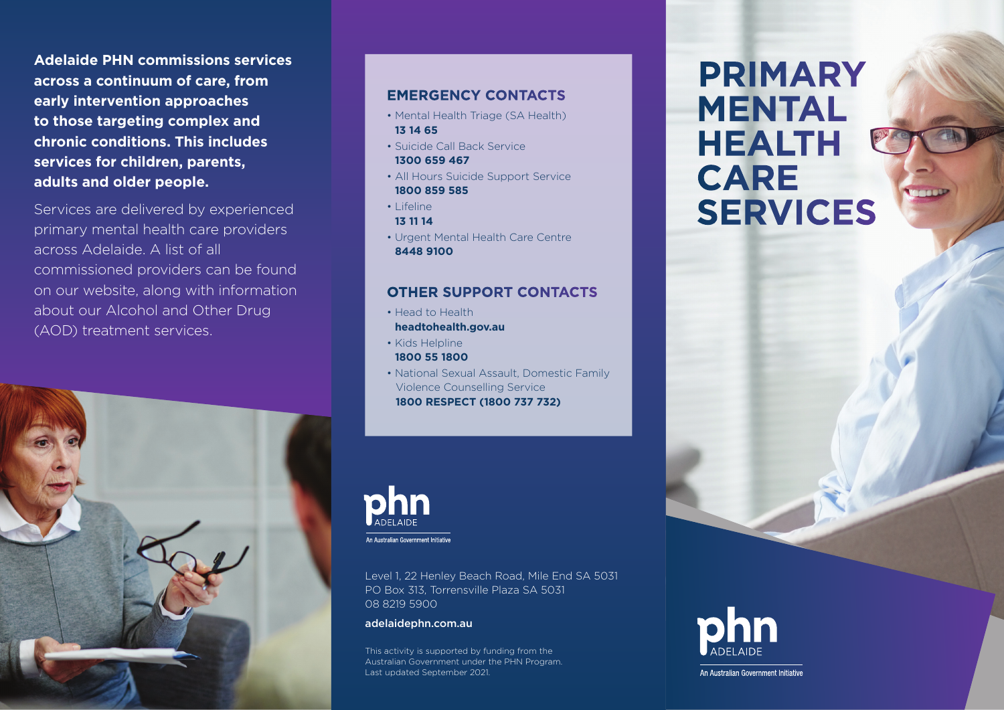**Adelaide PHN commissions services across a continuum of care, from early intervention approaches to those targeting complex and chronic conditions. This includes services for children, parents, adults and older people.**

Services are delivered by experienced primary mental health care providers across Adelaide. A list of all commissioned providers can be found on our website, along with information about our Alcohol and Other Drug (AOD) treatment services.



# **EMERGENCY CONTACTS**

- Mental Health Triage (SA Health) **13 14 65**
- Suicide Call Back Service **1300 659 467**
- All Hours Suicide Support Service **1800 859 585**
- Lifeline
- **13 11 14**
- Urgent Mental Health Care Centre **8448 9100**

# **OTHER SUPPORT CONTACTS**

- Head to Health **headtohealth.gov.au**
- Kids Helpline **1800 55 1800**
- National Sexual Assault, Domestic Family Violence Counselling Service **1800 RESPECT (1800 737 732)**



Level 1, 22 Henley Beach Road, Mile End SA 5031 PO Box 313, Torrensville Plaza SA 5031 08 8219 5900

adelaidephn.com.au

This activity is supported by funding from the Australian Government under the PHN Program. Last updated September 2021.

# **PRIMARY MENTAL HEALTH CARE SERVICES**



An Australian Government Initiative